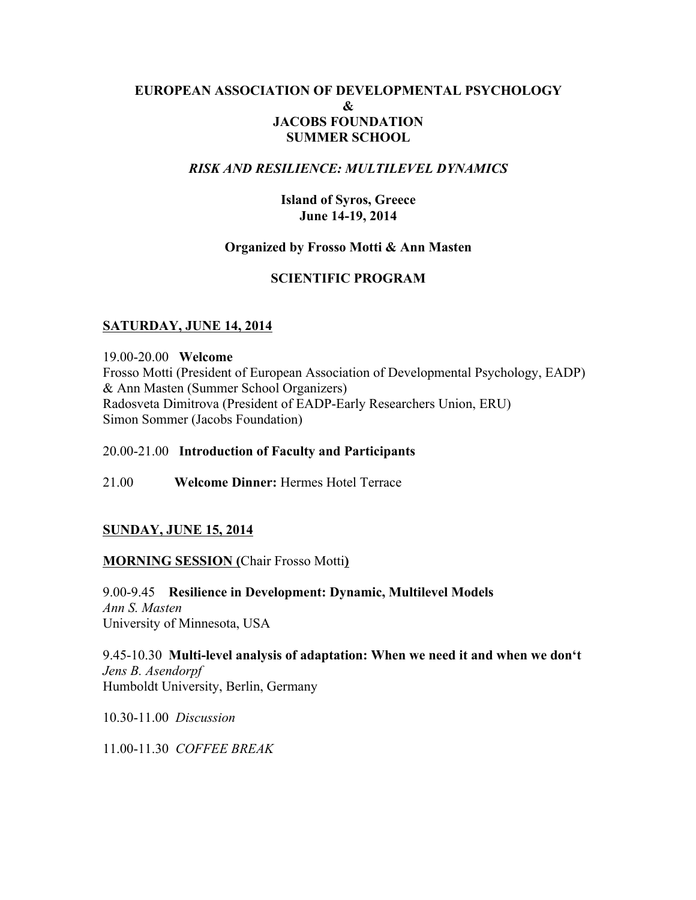## **EUROPEAN ASSOCIATION OF DEVELOPMENTAL PSYCHOLOGY & JACOBS FOUNDATION SUMMER SCHOOL**

#### *RISK AND RESILIENCE: MULTILEVEL DYNAMICS*

**Island of Syros, Greece June 14-19, 2014**

#### **Organized by Frosso Motti & Ann Masten**

#### **SCIENTIFIC PROGRAM**

## **SATURDAY, JUNE 14, 2014**

19.00-20.00 **Welcome** Frosso Motti (President of European Association of Developmental Psychology, EADP) & Ann Masten (Summer School Organizers) Radosveta Dimitrova (President of EADP-Early Researchers Union, ERU) Simon Sommer (Jacobs Foundation)

#### 20.00-21.00 **Introduction of Faculty and Participants**

21.00 **Welcome Dinner:** Hermes Hotel Terrace

#### **SUNDAY, JUNE 15, 2014**

#### **MORNING SESSION (**Chair Frosso Motti**)**

9.00-9.45 **Resilience in Development: Dynamic, Multilevel Models** *Ann S. Masten* University of Minnesota, USA

9.45-10.30 **Multi-level analysis of adaptation: When we need it and when we don't**  *Jens B. Asendorpf* Humboldt University, Berlin, Germany

10.30-11.00 *Discussion*

11.00-11.30 *COFFEE BREAK*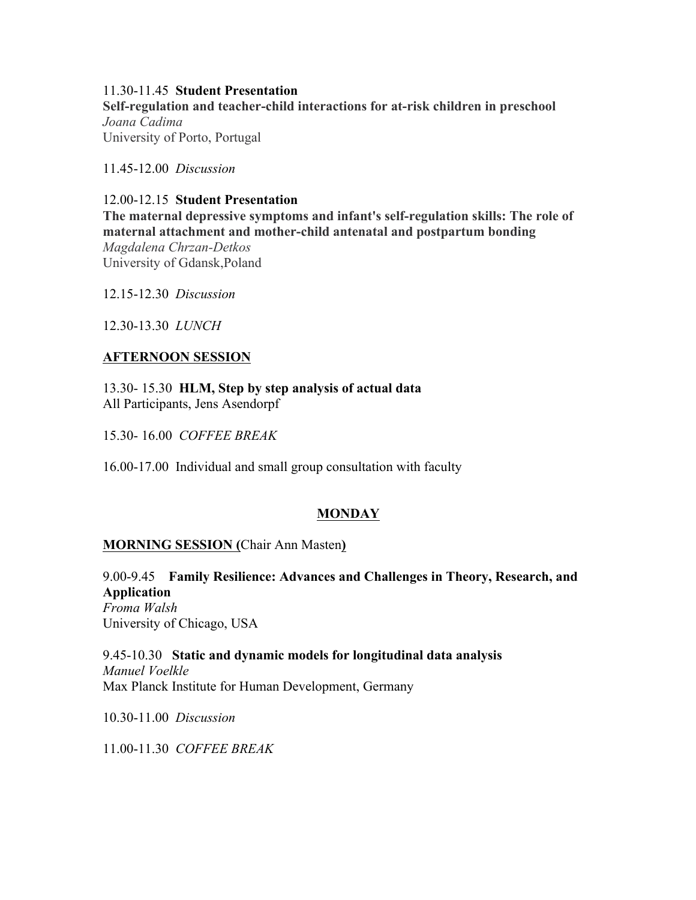#### 11.30-11.45 **Student Presentation**

**Self-regulation and teacher-child interactions for at-risk children in preschool** *Joana Cadima* University of Porto, Portugal

11.45-12.00 *Discussion*

#### 12.00-12.15 **Student Presentation**

**The maternal depressive symptoms and infant's self-regulation skills: The role of maternal attachment and mother-child antenatal and postpartum bonding** *Magdalena Chrzan-Detkos* University of Gdansk,Poland

12.15-12.30 *Discussion*

12.30-13.30 *LUNCH*

#### **AFTERNOON SESSION**

13.30- 15.30 **HLM, Step by step analysis of actual data** All Participants, Jens Asendorpf

15.30- 16.00 *COFFEE BREAK*

16.00-17.00 Individual and small group consultation with faculty

# **MONDAY**

#### **MORNING SESSION (**Chair Ann Masten**)**

9.00-9.45 **Family Resilience: Advances and Challenges in Theory, Research, and Application** *Froma Walsh*

University of Chicago, USA

9.45-10.30 **Static and dynamic models for longitudinal data analysis** *Manuel Voelkle* Max Planck Institute for Human Development, Germany

10.30-11.00 *Discussion*

11.00-11.30 *COFFEE BREAK*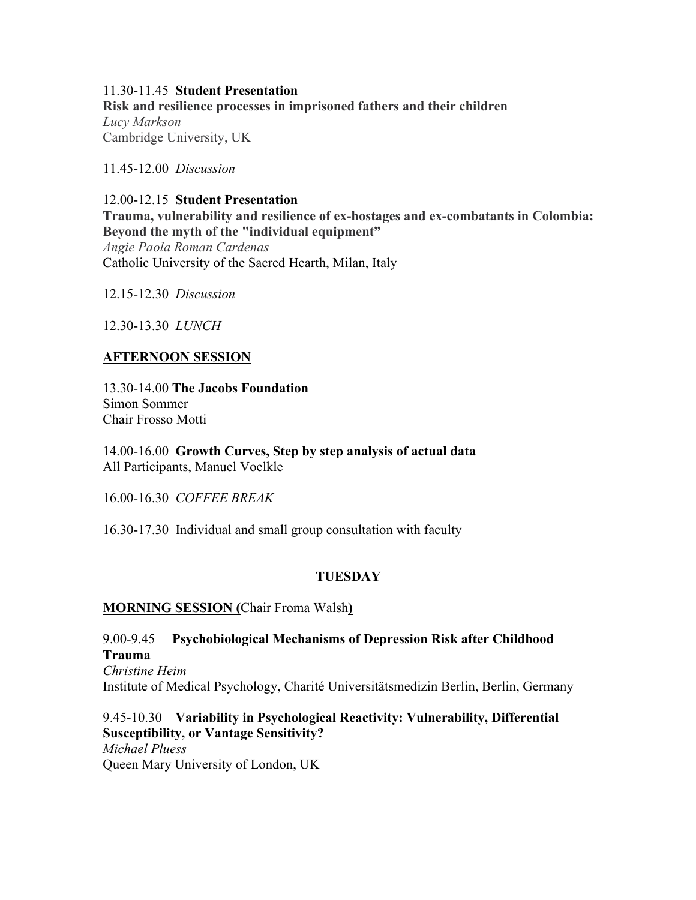# 11.30-11.45 **Student Presentation**

**Risk and resilience processes in imprisoned fathers and their children** *Lucy Markson* Cambridge University, UK

11.45-12.00 *Discussion*

#### 12.00-12.15 **Student Presentation Trauma, vulnerability and resilience of ex-hostages and ex-combatants in Colombia: Beyond the myth of the "individual equipment"** *Angie Paola Roman Cardenas* Catholic University of the Sacred Hearth, Milan, Italy

12.15-12.30 *Discussion*

12.30-13.30 *LUNCH* 

# **AFTERNOON SESSION**

13.30-14.00 **The Jacobs Foundation** Simon Sommer Chair Frosso Motti

14.00-16.00 **Growth Curves, Step by step analysis of actual data** All Participants, Manuel Voelkle

16.00-16.30 *COFFEE BREAK*

16.30-17.30 Individual and small group consultation with faculty

# **TUESDAY**

# **MORNING SESSION (**Chair Froma Walsh**)**

# 9.00-9.45 **Psychobiological Mechanisms of Depression Risk after Childhood Trauma**

*Christine Heim* Institute of Medical Psychology, Charité Universitätsmedizin Berlin, Berlin, Germany

#### 9.45-10.30 **Variability in Psychological Reactivity: Vulnerability, Differential Susceptibility, or Vantage Sensitivity?** *Michael Pluess*

Queen Mary University of London, UK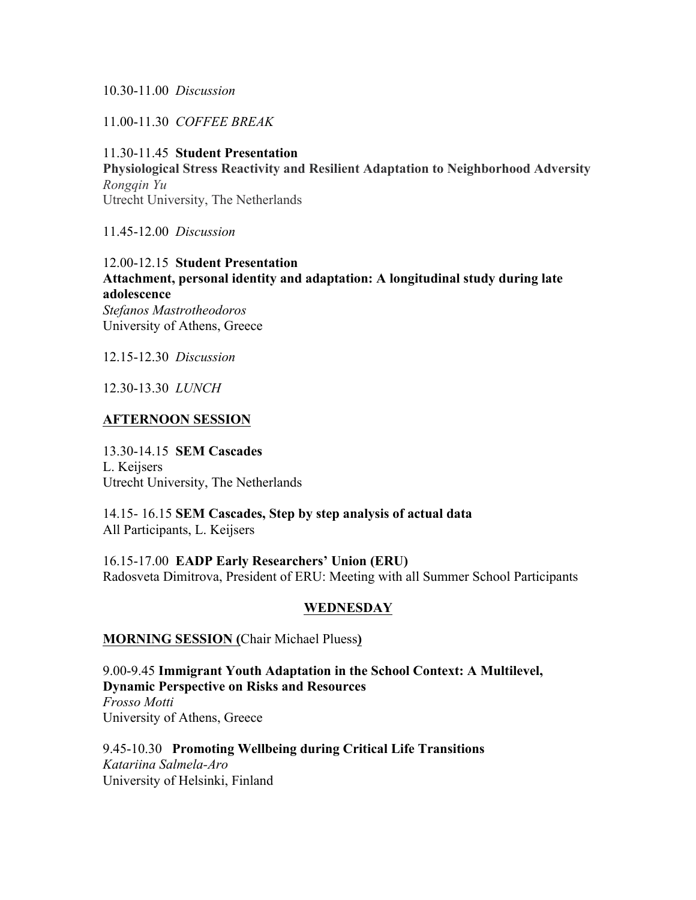#### 10.30-11.00 *Discussion*

11.00-11.30 *COFFEE BREAK*

# 11.30-11.45 **Student Presentation Physiological Stress Reactivity and Resilient Adaptation to Neighborhood Adversity** *Rongqin Yu* Utrecht University, The Netherlands

11.45-12.00 *Discussion*

# 12.00-12.15 **Student Presentation Attachment, personal identity and adaptation: A longitudinal study during late adolescence** *Stefanos Mastrotheodoros* University of Athens, Greece

12.15-12.30 *Discussion*

12.30-13.30 *LUNCH* 

#### **AFTERNOON SESSION**

13.30-14.15 **SEM Cascades** L. Keijsers Utrecht University, The Netherlands

14.15- 16.15 **SEM Cascades, Step by step analysis of actual data** All Participants, L. Keijsers

16.15-17.00 **EADP Early Researchers' Union (ERU)** Radosveta Dimitrova, President of ERU: Meeting with all Summer School Participants

#### **WEDNESDAY**

#### **MORNING SESSION (**Chair Michael Pluess**)**

9.00-9.45 **Immigrant Youth Adaptation in the School Context: A Multilevel, Dynamic Perspective on Risks and Resources**

*Frosso Motti* University of Athens, Greece

9.45-10.30 **Promoting Wellbeing during Critical Life Transitions** *Katariina Salmela-Aro* University of Helsinki, Finland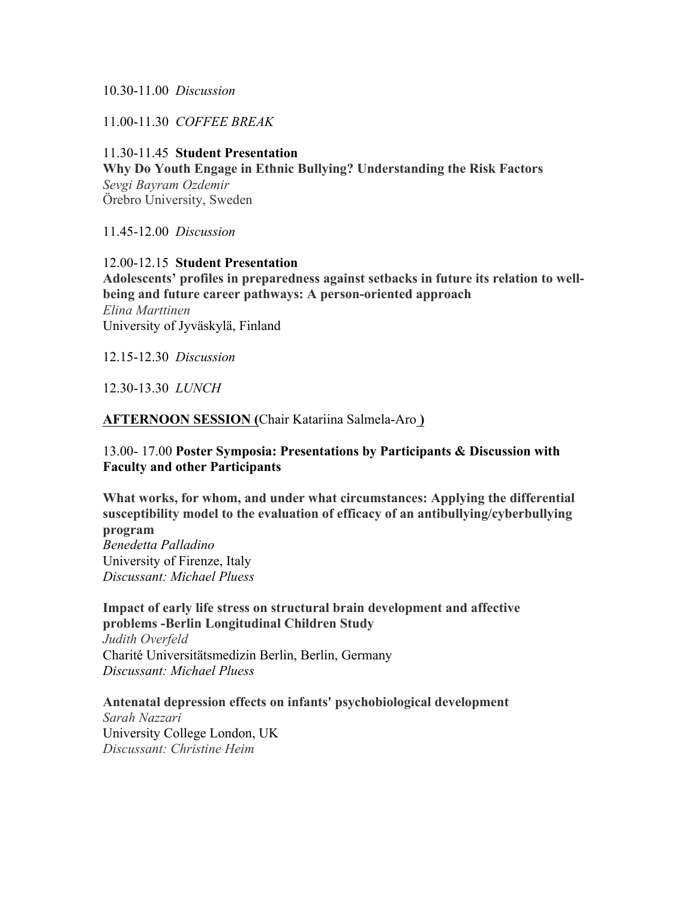10.30-11.00 *Discussion*

11.00-11.30 *COFFEE BREAK*

11.30-11.45 **Student Presentation Why Do Youth Engage in Ethnic Bullying? Understanding the Risk Factors** *Sevgi Bayram Ozdemir* Örebro University, Sweden

11.45-12.00 *Discussion*

12.00-12.15 **Student Presentation Adolescents' profiles in preparedness against setbacks in future its relation to wellbeing and future career pathways: A person-oriented approach** *Elina Marttinen* University of Jyväskylä, Finland

12.15-12.30 *Discussion*

12.30-13.30 *LUNCH* 

## **AFTERNOON SESSION (**Chair Katariina Salmela-Aro **)**

## 13.00- 17.00 **Poster Symposia: Presentations by Participants & Discussion with Faculty and other Participants**

**What works, for whom, and under what circumstances: Applying the differential susceptibility model to the evaluation of efficacy of an antibullying/cyberbullying program** *Benedetta Palladino* University of Firenze, Italy *Discussant: Michael Pluess*

**Impact of early life stress on structural brain development and affective problems -Berlin Longitudinal Children Study** *Judith Overfeld*

Charité Universitätsmedizin Berlin, Berlin, Germany *Discussant: Michael Pluess*

**Antenatal depression effects on infants' psychobiological development**

*Sarah Nazzari* University College London, UK *Discussant: Christine Heim*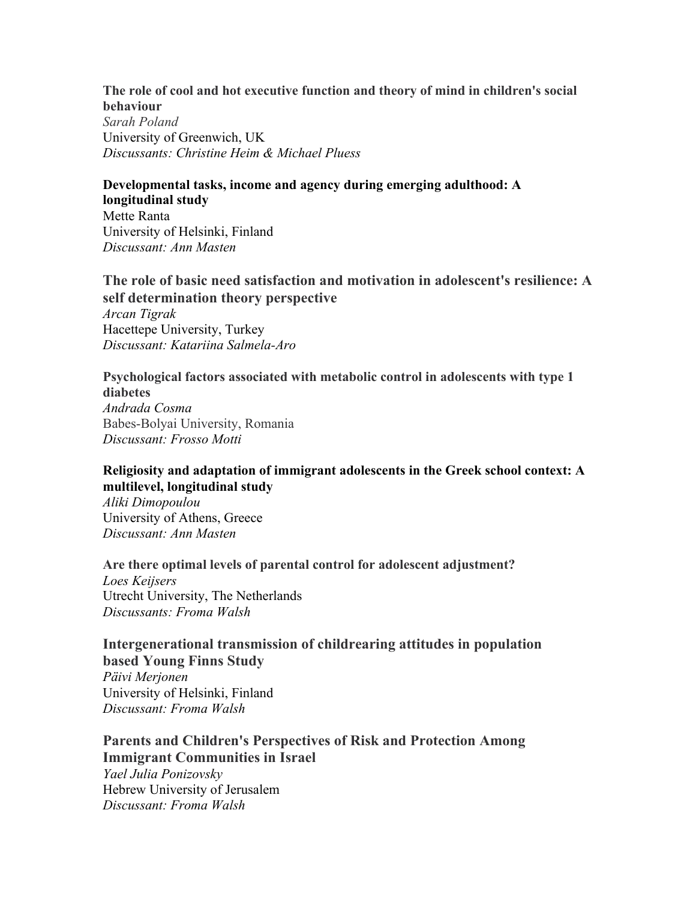#### **The role of cool and hot executive function and theory of mind in children's social behaviour**

*Sarah Poland* University of Greenwich, UK *Discussants: Christine Heim & Michael Pluess*

# **Developmental tasks, income and agency during emerging adulthood: A**

**longitudinal study** Mette Ranta University of Helsinki, Finland *Discussant: Ann Masten*

# **The role of basic need satisfaction and motivation in adolescent's resilience: A self determination theory perspective**

*Arcan Tigrak* Hacettepe University, Turkey *Discussant: Katariina Salmela-Aro*

#### **Psychological factors associated with metabolic control in adolescents with type 1 diabetes**

*Andrada Cosma* Babes-Bolyai University, Romania *Discussant: Frosso Motti*

# **Religiosity and adaptation of immigrant adolescents in the Greek school context: A multilevel, longitudinal study**

*Aliki Dimopoulou* University of Athens, Greece *Discussant: Ann Masten*

**Are there optimal levels of parental control for adolescent adjustment?** *Loes Keijsers* Utrecht University, The Netherlands *Discussants: Froma Walsh* 

# **Intergenerational transmission of childrearing attitudes in population based Young Finns Study**

*Päivi Merjonen* University of Helsinki, Finland *Discussant: Froma Walsh*

**Parents and Children's Perspectives of Risk and Protection Among Immigrant Communities in Israel** *Yael Julia Ponizovsky*

Hebrew University of Jerusalem *Discussant: Froma Walsh*